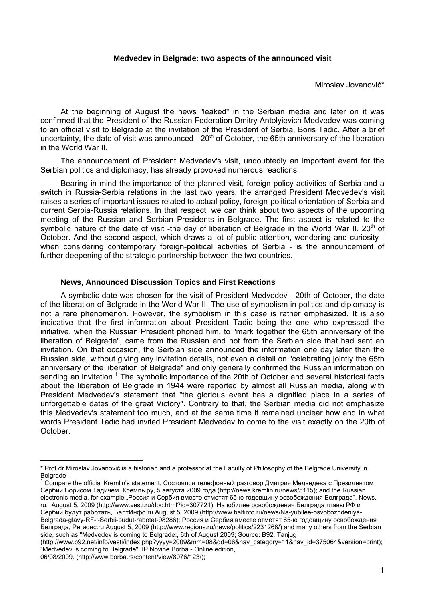## **Medvedev in Belgrade: two aspects of the announced visit**

Miroslav Jovanović\*

At the beginning of August the news "leaked" in the Serbian media and later on it was confirmed that the President of the Russian Federation Dmitry Antolyievich Medvedev was coming to an official visit to Belgrade at the invitation of the President of Serbia, Boris Tadic. After a brief uncertainty, the date of visit was announced -  $20<sup>th</sup>$  of October, the 65th anniversary of the liberation in the World War II.

The announcement of President Medvedev's visit, undoubtedly an important event for the Serbian politics and diplomacy, has already provoked numerous reactions.

Bearing in mind the importance of the planned visit, foreign policy activities of Serbia and a switch in Russia-Serbia relations in the last two years, the arranged President Medvedev's visit raises a series of important issues related to actual policy, foreign-political orientation of Serbia and current Serbia-Russia relations. In that respect, we can think about two aspects of the upcoming meeting of the Russian and Serbian Presidents in Belgrade. The first aspect is related to the symbolic nature of the date of visit -the day of liberation of Belgrade in the World War II, 20<sup>th</sup> of October. And the second aspect, which draws a lot of public attention, wondering and curiosity when considering contemporary foreign-political activities of Serbia - is the announcement of further deepening of the strategic partnership between the two countries.

## **News, Announced Discussion Topics and First Reactions**

A symbolic date was chosen for the visit of President Medvedev - 20th of October, the date of the liberation of Belgrade in the World War II. The use of symbolism in politics and diplomacy is not a rare phenomenon. However, the symbolism in this case is rather emphasized. It is also indicative that the first information about President Tadic being the one who expressed the initiative, when the Russian President phoned him, to "mark together the 65th anniversary of the liberation of Belgrade", came from the Russian and not from the Serbian side that had sent an invitation. On that occasion, the Serbian side announced the information one day later than the Russian side, without giving any invitation details, not even a detail on "celebrating jointly the 65th anniversary of the liberation of Belgrade" and only generally confirmed the Russian information on sending an invitation.<sup>1</sup> The symbolic importance of the 20th of October and several historical facts about the liberation of Belgrade in 1944 were reported by almost all Russian media, along with President Medvedev's statement that "the glorious event has a dignified place in a series of unforgettable dates of the great Victory". Contrary to that, the Serbian media did not emphasize this Medvedev's statement too much, and at the same time it remained unclear how and in what words President Tadic had invited President Medvedev to come to the visit exactly on the 20th of October.

1 Compare the official Kremlin's statement, Состоялся телефонный разговор Дмитрия Медведева с Президентом Сербии Борисом Тадичем, Кремль.ру, 5 августа 2009 года (http://news.kremlin.ru/news/5115); and the Russian electronic media, for example "Россия и Сербия вместе отметят 65-ю годовщину освобождения Белграда", News. ru, August 5, 2009 (http://www.vesti.ru/doc.html?id=307721); На юбилее освобождения Белграда главы РФ и Сербии будут работать, БалтИнфо.ru August 5, 2009 (http://www.baltinfo.ru/news/Na-yubilee-osvobozhdeniya-Belgrada-glavy-RF-i-Serbii-budut-rabotat-98286); Россия и Сербия вместе отметят 65-ю годовщину освобождения Белграда, Регионс.ru August 5, 2009 (http://www.regions.ru/news/politics/2231268/) and many others from the Serbian side, such as "Medvedev is coming to Belgrade:, 6th of August 2009; Source: B92, Tanjug

(http://www.b92.net/info/vesti/index.php?yyyy=2009&mm=08&dd=06&nav\_category=11&nav\_id=375064&version=print); "Medvedev is coming to Belgrade", IP Novine Borba - Online edition,

06/08/2009. (http://www.borba.rs/content/view/8076/123/);

<sup>\*</sup> Prof dr Miroslav Jovanović is a historian and a professor at the Faculty of Philosophy of the Belgrade University in **Belgrade**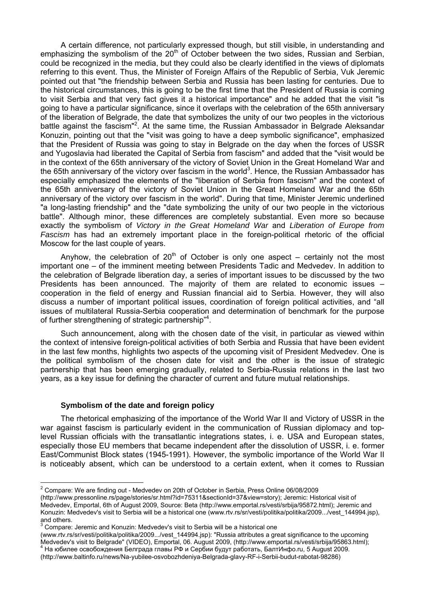A certain difference, not particularly expressed though, but still visible, in understanding and emphasizing the symbolism of the  $20<sup>th</sup>$  of October between the two sides. Russian and Serbian, could be recognized in the media, but they could also be clearly identified in the views of diplomats referring to this event. Thus, the Minister of Foreign Affairs of the Republic of Serbia, Vuk Jeremic pointed out that "the friendship between Serbia and Russia has been lasting for centuries. Due to the historical circumstances, this is going to be the first time that the President of Russia is coming to visit Serbia and that very fact gives it a historical importance" and he added that the visit "is going to have a particular significance, since it overlaps with the celebration of the 65th anniversary of the liberation of Belgrade, the date that symbolizes the unity of our two peoples in the victorious battle against the fascism"<sup>2</sup>. At the same time, the Russian Ambassador in Belgrade Aleksandar Konuzin, pointing out that the "visit was going to have a deep symbolic significance", emphasized that the President of Russia was going to stay in Belgrade on the day when the forces of USSR and Yugoslavia had liberated the Capital of Serbia from fascism" and added that the "visit would be in the context of the 65th anniversary of the victory of Soviet Union in the Great Homeland War and the 65th anniversary of the victory over fascism in the world<sup>3</sup>. Hence, the Russian Ambassador has especially emphasized the elements of the "liberation of Serbia from fascism" and the context of the 65th anniversary of the victory of Soviet Union in the Great Homeland War and the 65th anniversary of the victory over fascism in the world". During that time, Minister Jeremic underlined "a long-lasting friendship" and the "date symbolizing the unity of our two people in the victorious battle". Although minor, these differences are completely substantial. Even more so because exactly the symbolism of *Victory in the Great Homeland War* and *Liberation of Europe from Fascism* has had an extremely important place in the foreign-political rhetoric of the official Moscow for the last couple of years.

Anyhow, the celebration of  $20<sup>th</sup>$  of October is only one aspect – certainly not the most important one – of the imminent meeting between Presidents Tadic and Medvedev. In addition to the celebration of Belgrade liberation day, a series of important issues to be discussed by the two Presidents has been announced. The majority of them are related to economic issues – cooperation in the field of energy and Russian financial aid to Serbia. However, they will also discuss a number of important political issues, coordination of foreign political activities, and "all issues of multilateral Russia-Serbia cooperation and determination of benchmark for the purpose of further strengthening of strategic partnership<sup>"4</sup>.

Such announcement, along with the chosen date of the visit, in particular as viewed within the context of intensive foreign-political activities of both Serbia and Russia that have been evident in the last few months, highlights two aspects of the upcoming visit of President Medvedev. One is the political symbolism of the chosen date for visit and the other is the issue of strategic partnership that has been emerging gradually, related to Serbia-Russia relations in the last two years, as a key issue for defining the character of current and future mutual relationships.

## **Symbolism of the date and foreign policy**

The rhetorical emphasizing of the importance of the World War II and Victory of USSR in the war against fascism is particularly evident in the communication of Russian diplomacy and toplevel Russian officials with the transatlantic integrations states, i. e. USA and European states, especially those EU members that became independent after the dissolution of USSR, i. e. former East/Communist Block states (1945-1991). However, the symbolic importance of the World War II is noticeably absent, which can be understood to a certain extent, when it comes to Russian

 2 Compare: We are finding out - Medvedev on 20th of October in Serbia, Press Online 06/08/2009

<sup>(</sup>http://www.pressonline.rs/page/stories/sr.html?id=75311&sectionId=37&view=story); Jeremic: Historical visit of Medvedev, Emportal, 6th of August 2009, Source: Beta (http://www.emportal.rs/vesti/srbija/95872.html); Jeremic and Konuzin: Medvedev's visit to Serbia will be a historical one (www.rtv.rs/sr/vesti/politika/politika/2009.../vest\_144994.jsp), and others.<br><sup>3</sup> Compare:

Compare: Jeremic and Konuzin: Medvedev's visit to Serbia will be a historical one

<sup>(</sup>www.rtv.rs/sr/vesti/politika/politika/2009.../vest\_144994.jsp): "Russia attributes a great significance to the upcoming<br>Medvedev's visit to Belgrade" (VIDEO), Emportal, 06. August 2009, (http://www.emportal.rs/vesti/srbij На юбилее освобождения Белграда главы РФ и Сербии будут работать, БалтИнфо.ru, 5 August 2009. (http://www.baltinfo.ru/news/Na-yubilee-osvobozhdeniya-Belgrada-glavy-RF-i-Serbii-budut-rabotat-98286)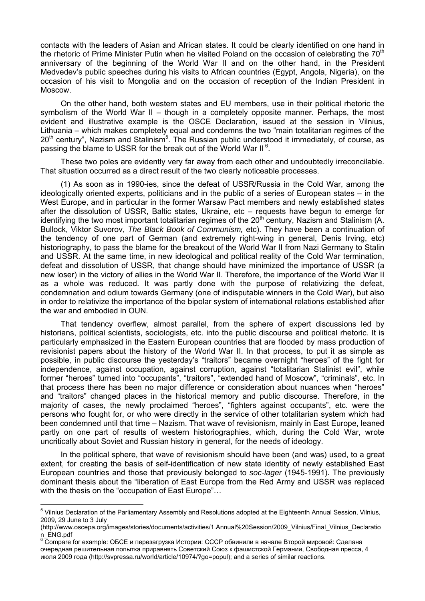contacts with the leaders of Asian and African states. It could be clearly identified on one hand in the rhetoric of Prime Minister Putin when he visited Poland on the occasion of celebrating the  $70<sup>th</sup>$ anniversary of the beginning of the World War II and on the other hand, in the President Medvedev's public speeches during his visits to African countries (Egypt, Angola, Nigeria), on the occasion of his visit to Mongolia and on the occasion of reception of the Indian President in Moscow.

On the other hand, both western states and EU members, use in their political rhetoric the symbolism of the World War II – though in a completely opposite manner. Perhaps, the most evident and illustrative example is the OSCE Declaration, issued at the session in Vilnius, Lithuania – which makes completely equal and condemns the two "main totalitarian regimes of the  $20<sup>th</sup>$  century", Nazism and Stalinism<sup>5</sup>. The Russian public understood it immediately, of course, as passing the blame to USSR for the break out of the World War II<sup>6</sup>.

These two poles are evidently very far away from each other and undoubtedly irreconcilable. That situation occurred as a direct result of the two clearly noticeable processes.

(1) As soon as in 1990-ies, since the defeat of USSR/Russia in the Cold War, among the ideologically oriented experts, politicians and in the public of a series of European states – in the West Europe, and in particular in the former Warsaw Pact members and newly established states after the dissolution of USSR, Baltic states, Ukraine, etc – requests have begun to emerge for identifying the two most important totalitarian regimes of the  $20<sup>th</sup>$  century, Nazism and Stalinism (A. Bullock, Viktor Suvorov, *The Black Book of Communism,* etc). They have been a continuation of the tendency of one part of German (and extremely right-wing in general, Denis Irving, etc) historiography, to pass the blame for the breakout of the World War II from Nazi Germany to Stalin and USSR. At the same time, in new ideological and political reality of the Cold War termination, defeat and dissolution of USSR, that change should have minimized the importance of USSR (a new loser) in the victory of allies in the World War II. Therefore, the importance of the World War II as a whole was reduced. It was partly done with the purpose of relativizing the defeat, condemnation and odium towards Germany (one of indisputable winners in the Cold War), but also in order to relativize the importance of the bipolar system of international relations established after the war and embodied in OUN.

That tendency overflew, almost parallel, from the sphere of expert discussions led by historians, political scientists, sociologists, etc. into the public discourse and political rhetoric. It is particularly emphasized in the Eastern European countries that are flooded by mass production of revisionist papers about the history of the World War II. In that process, to put it as simple as possible, in public discourse the yesterday's "traitors" became overnight "heroes" of the fight for independence, against occupation, against corruption, against "totalitarian Stalinist evil", while former "heroes" turned into "occupants", "traitors", "extended hand of Moscow", "criminals", etc. In that process there has been no major difference or consideration about nuances when "heroes" and "traitors" changed places in the historical memory and public discourse. Therefore, in the majority of cases, the newly proclaimed "heroes", "fighters against occupants", etc. were the persons who fought for, or who were directly in the service of other totalitarian system which had been condemned until that time – Nazism. That wave of revisionism, mainly in East Europe, leaned partly on one part of results of western historiographies, which, during the Cold War, wrote uncritically about Soviet and Russian history in general, for the needs of ideology.

In the political sphere, that wave of revisionism should have been (and was) used, to a great extent, for creating the basis of self-identification of new state identity of newly established East European countries and those that previously belonged to *soc-lager* (1945-1991). The previously dominant thesis about the "liberation of East Europe from the Red Army and USSR was replaced with the thesis on the "occupation of East Europe"...

<sup>&</sup>lt;sup>5</sup> Vilnius Declaration of the Parliamentary Assembly and Resolutions adopted at the Eighteenth Annual Session, Vilnius, 2009, 29 June to 3 July

<sup>(</sup>http://www.oscepa.org/images/stories/documents/activities/1.Annual%20Session/2009\_Vilnius/Final\_Vilnius\_Declaratio n\_ENG.pdf

 $^6$  Compare for example: ОБСЕ и перезагрузка Истории: СССР обвинили в начале Второй мировой: Сделана очередная решительная попытка приравнять Советский Союз к фашистской Германии, Свободная пресса, 4 июля 2009 года (http://svpressa.ru/world/article/10974/?go=popul); and a series of similar reactions.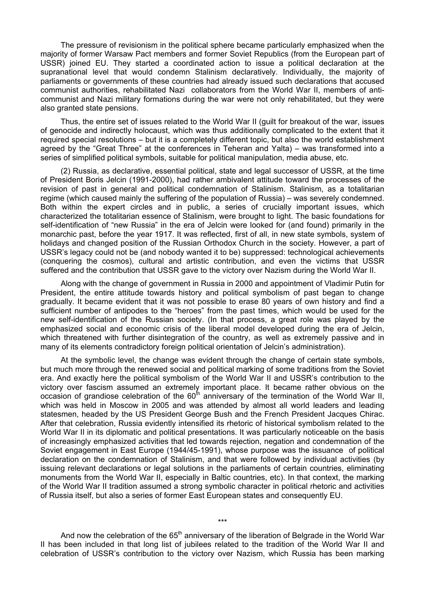The pressure of revisionism in the political sphere became particularly emphasized when the majority of former Warsaw Pact members and former Soviet Republics (from the European part of USSR) joined EU. They started a coordinated action to issue a political declaration at the supranational level that would condemn Stalinism declaratively. Individually, the majority of parliaments or governments of these countries had already issued such declarations that accused communist authorities, rehabilitated Nazi collaborators from the World War II, members of anticommunist and Nazi military formations during the war were not only rehabilitated, but they were also granted state pensions.

Thus, the entire set of issues related to the World War II (guilt for breakout of the war, issues of genocide and indirectly holocaust, which was thus additionally complicated to the extent that it required special resolutions – but it is a completely different topic, but also the world establishment agreed by the "Great Three" at the conferences in Teheran and Yalta) – was transformed into a series of simplified political symbols, suitable for political manipulation, media abuse, etc.

(2) Russia, as declarative, essential political, state and legal successor of USSR, at the time of President Boris Jelcin (1991-2000), had rather ambivalent attitude toward the processes of the revision of past in general and political condemnation of Stalinism. Stalinism, as a totalitarian regime (which caused mainly the suffering of the population of Russia) – was severely condemned. Both within the expert circles and in public, a series of crucially important issues, which characterized the totalitarian essence of Stalinism, were brought to light. The basic foundations for self-identification of "new Russia" in the era of Jelcin were looked for (and found) primarily in the monarchic past, before the year 1917. It was reflected, first of all, in new state symbols, system of holidays and changed position of the Russian Orthodox Church in the society. However, a part of USSR's legacy could not be (and nobody wanted it to be) suppressed: technological achievements (conquering the cosmos), cultural and artistic contribution, and even the victims that USSR suffered and the contribution that USSR gave to the victory over Nazism during the World War II.

Along with the change of government in Russia in 2000 and appointment of Vladimir Putin for President, the entire attitude towards history and political symbolism of past began to change gradually. It became evident that it was not possible to erase 80 years of own history and find a sufficient number of antipodes to the "heroes" from the past times, which would be used for the new self-identification of the Russian society. (In that process, a great role was played by the emphasized social and economic crisis of the liberal model developed during the era of Jelcin, which threatened with further disintegration of the country, as well as extremely passive and in many of its elements contradictory foreign political orientation of Jelcin's administration).

At the symbolic level, the change was evident through the change of certain state symbols, but much more through the renewed social and political marking of some traditions from the Soviet era. And exactly here the political symbolism of the World War II and USSR's contribution to the victory over fascism assumed an extremely important place. It became rather obvious on the occasion of grandiose celebration of the  $60<sup>th</sup>$  anniversary of the termination of the World War II. which was held in Moscow in 2005 and was attended by almost all world leaders and leading statesmen, headed by the US President George Bush and the French President Jacques Chirac. After that celebration, Russia evidently intensified its rhetoric of historical symbolism related to the World War II in its diplomatic and political presentations. It was particularly noticeable on the basis of increasingly emphasized activities that led towards rejection, negation and condemnation of the Soviet engagement in East Europe (1944/45-1991), whose purpose was the issuance of political declaration on the condemnation of Stalinism, and that were followed by individual activities (by issuing relevant declarations or legal solutions in the parliaments of certain countries, eliminating monuments from the World War II, especially in Baltic countries, etc). In that context, the marking of the World War II tradition assumed a strong symbolic character in political rhetoric and activities of Russia itself, but also a series of former East European states and consequently EU.

And now the celebration of the 65<sup>th</sup> anniversary of the liberation of Belgrade in the World War II has been included in that long list of jubilees related to the tradition of the World War II and celebration of USSR's contribution to the victory over Nazism, which Russia has been marking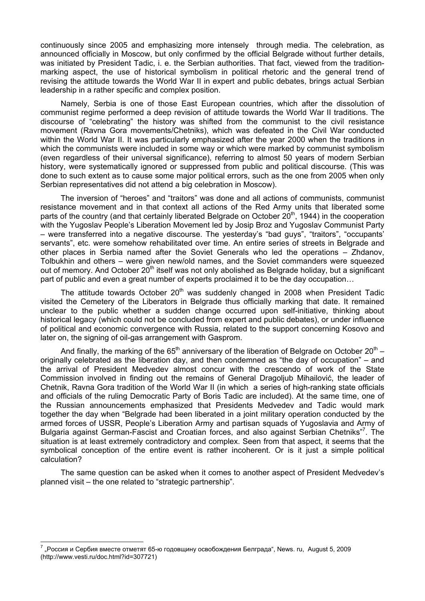continuously since 2005 and emphasizing more intensely through media. The celebration, as announced officially in Moscow, but only confirmed by the official Belgrade without further details, was initiated by President Tadic, i. e. the Serbian authorities. That fact, viewed from the traditionmarking aspect, the use of historical symbolism in political rhetoric and the general trend of revising the attitude towards the World War II in expert and public debates, brings actual Serbian leadership in a rather specific and complex position.

Namely, Serbia is one of those East European countries, which after the dissolution of communist regime performed a deep revision of attitude towards the World War II traditions. The discourse of "celebrating" the history was shifted from the communist to the civil resistance movement (Ravna Gora movements/Chetniks), which was defeated in the Civil War conducted within the World War II. It was particularly emphasized after the year 2000 when the traditions in which the communists were included in some way or which were marked by communist symbolism (even regardless of their universal significance), referring to almost 50 years of modern Serbian history, were systematically ignored or suppressed from public and political discourse. (This was done to such extent as to cause some major political errors, such as the one from 2005 when only Serbian representatives did not attend a big celebration in Moscow).

The inversion of "heroes" and "traitors" was done and all actions of communists, communist resistance movement and in that context all actions of the Red Army units that liberated some parts of the country (and that certainly liberated Belgrade on October  $20<sup>th</sup>$ , 1944) in the cooperation with the Yugoslav People's Liberation Movement led by Josip Broz and Yugoslav Communist Party – were transferred into a negative discourse. The yesterday's "bad guys", "traitors", "occupants' servants", etc. were somehow rehabilitated over time. An entire series of streets in Belgrade and other places in Serbia named after the Soviet Generals who led the operations – Zhdanov, Tolbukhin and others – were given new/old names, and the Soviet commanders were squeezed out of memory. And October 20<sup>th</sup> itself was not only abolished as Belgrade holiday, but a significant part of public and even a great number of experts proclaimed it to be the day occupation…

The attitude towards October  $20<sup>th</sup>$  was suddenly changed in 2008 when President Tadic visited the Cemetery of the Liberators in Belgrade thus officially marking that date. It remained unclear to the public whether a sudden change occurred upon self-initiative, thinking about historical legacy (which could not be concluded from expert and public debates), or under influence of political and economic convergence with Russia, related to the support concerning Kosovo and later on, the signing of oil-gas arrangement with Gasprom.

And finally, the marking of the  $65<sup>th</sup>$  anniversary of the liberation of Belgrade on October 20<sup>th</sup> – originally celebrated as the liberation day, and then condemned as "the day of occupation" – and the arrival of President Medvedev almost concur with the crescendo of work of the State Commission involved in finding out the remains of General Dragoljub Mihailović, the leader of Chetnik, Ravna Gora tradition of the World War II (in which a series of high-ranking state officials and officials of the ruling Democratic Party of Boris Tadic are included). At the same time, one of the Russian announcements emphasized that Presidents Medvedev and Tadic would mark together the day when "Belgrade had been liberated in a joint military operation conducted by the armed forces of USSR, People's Liberation Army and partisan squads of Yugoslavia and Army of Bulgaria against German-Fascist and Croatian forces, and also against Serbian Chetniks"<sup>7</sup>. The situation is at least extremely contradictory and complex. Seen from that aspect, it seems that the symbolical conception of the entire event is rather incoherent. Or is it just a simple political calculation?

The same question can be asked when it comes to another aspect of President Medvedev's planned visit – the one related to "strategic partnership".

 $^7$  "Россия и Сербия вместе отметят 65-ю годовщину освобождения Белграда", News. ru, August 5, 2009 (http://www.vesti.ru/doc.html?id=307721)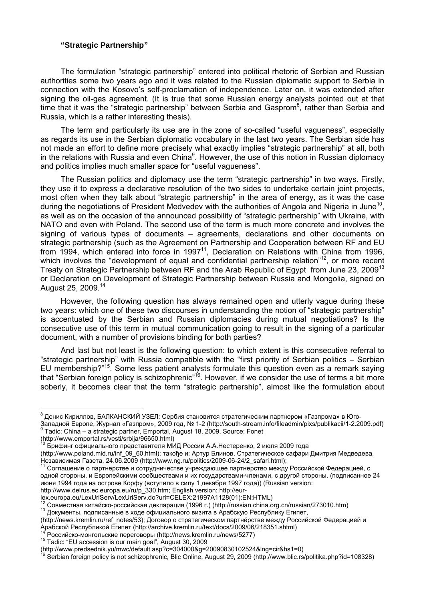## **"Strategic Partnership"**

The formulation "strategic partnership" entered into political rhetoric of Serbian and Russian authorities some two years ago and it was related to the Russian diplomatic support to Serbia in connection with the Kosovo's self-proclamation of independence. Later on, it was extended after signing the oil-gas agreement. (It is true that some Russian energy analysts pointed out at that time that it was the "strategic partnership" between Serbia and Gasprom<sup>8</sup>, rather than Serbia and Russia, which is a rather interesting thesis).

The term and particularly its use are in the zone of so-called "useful vagueness", especially as regards its use in the Serbian diplomatic vocabulary in the last two years. The Serbian side has not made an effort to define more precisely what exactly implies "strategic partnership" at all, both in the relations with Russia and even China $^9$ . However, the use of this notion in Russian diplomacy and politics implies much smaller space for "useful vagueness".

The Russian politics and diplomacy use the term "strategic partnership" in two ways. Firstly, they use it to express a declarative resolution of the two sides to undertake certain joint projects, most often when they talk about "strategic partnership" in the area of energy, as it was the case during the negotiations of President Medvedev with the authorities of Angola and Nigeria in June<sup>10</sup>. as well as on the occasion of the announced possibility of "strategic partnership" with Ukraine, with NATO and even with Poland. The second use of the term is much more concrete and involves the signing of various types of documents – agreements, declarations and other documents on strategic partnership (such as the Agreement on Partnership and Cooperation between RF and EU from 1994, which entered into force in 1997<sup>11</sup>, Declaration on Relations with China from 1996, which involves the "development of equal and confidential partnership relation"<sup>12</sup>, or more recent Treaty on Strategic Partnership between RF and the Arab Republic of Egypt from June 23, 2009<sup>13</sup> or Declaration on Development of Strategic Partnership between Russia and Mongolia, signed on August 25, 2009.<sup>14</sup>

However, the following question has always remained open and utterly vague during these two years: which one of these two discourses in understanding the notion of "strategic partnership" is accentuated by the Serbian and Russian diplomacies during mutual negotiations? Is the consecutive use of this term in mutual communication going to result in the signing of a particular document, with a number of provisions binding for both parties?

And last but not least is the following question: to which extent is this consecutive referral to "strategic partnership" with Russia compatible with the "first priority of Serbian politics – Serbian EU membership?"<sup>15</sup>. Some less patient analysts formulate this question even as a remark saying that "Serbian foreign policy is schizophrenic"<sup>16</sup>. However, if we consider the use of terms a bit more soberly, it becomes clear that the term "strategic partnership", almost like the formulation about

Tadic: China – a strategic partner, Emportal, August 18, 2009, Source: Fonet

<sup>&</sup>lt;sup>8</sup> Денис Кириллов, БАЛКАНСКИЙ УЗЕЛ: Сербия становится стратегическим партнером «Газпрома» в Юго-Западной Европе, Журнал «Газпром», 2009 год, № 1-2 (http://south-stream.info/fileadmin/pixs/publikacii/1-2.2009.pdf) 9

<sup>(</sup>http://www.emportal.rs/vesti/srbija/96650.html)

<sup>10</sup> Брифинг официального представителя МИД России А.А.Нестеренко, 2 июля 2009 года (http://www.poland.mid.ru/inf\_09\_60.html); такође и: Артур Блинов, Стратегическое сафари Дмитрия Медведева, Независимая Газета, 24.06.2009 (http://www.ng.ru/politics/2009-06-24/2\_safari.html);<br><sup>11</sup> Соглашение о партнерстве и сотрудничестве учреждающее партнерство между Российской Федерацией, с

одной стороны, и Европейскими сообществами и их государствами-членами, с другой стороны. (подписанное 24 июня 1994 года на острове Корфу (вступило в силу 1 декабря 1997 года)) (Russian version:

http://www.delrus.ec.europa.eu/ru/p\_330.htm; English version: http://eur-<br>lex.europa.eu/LexUriServ/LexUriServ.do?uri=CELEX:21997A1128(01):EN:HTML)

 $^{12}$  Совместная китайско-российская декларация (1996 г.) (http://russian.china.org.cn/russian/273010.htm)<br><sup>13</sup> Документы, подписанные в ходе официального визита в Арабскую Республику Египет,

<sup>(</sup>http://news.kremlin.ru/ref\_notes/53); Договор о стратегическом партнёрстве между Российской Федерацией и Арабской Республикой Египет (http://archive.kremlin.ru/text/docs/2009/06/218351.shtml)<br><sup>14</sup> Российско-монгольские переговоры (http://news.kremlin.ru/news/5277)<br><sup>15</sup> Tadic: "EU accession is our main goal", August 30, 2009

<sup>(</sup>http://www.predsednik.yu/mwc/default.asp?c=304000&g=20090830102524&lng=cir&hs1=0)

<sup>16</sup> Serbian foreign policy is not schizophrenic, Blic Online, August 29, 2009 (http://www.blic.rs/politika.php?id=108328)